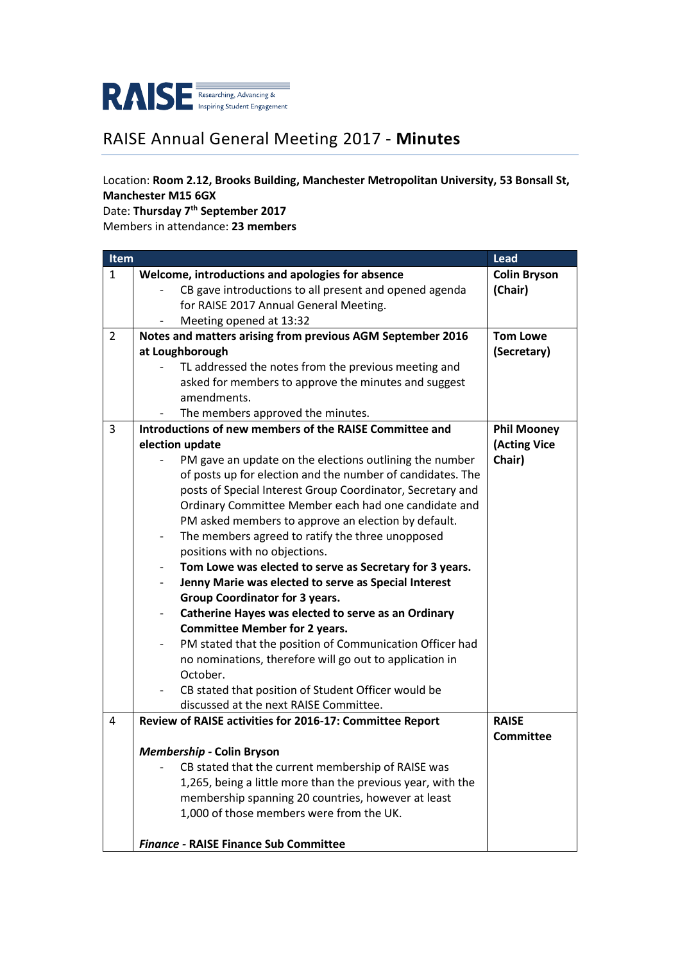

## RAISE Annual General Meeting 2017 - **Minutes**

## Location: **Room 2.12, Brooks Building, Manchester Metropolitan University, 53 Bonsall St, Manchester M15 6GX**

Date: **Thursday 7th September 2017**

Members in attendance: **23 members**

| Item         |                                                                                      | Lead                |
|--------------|--------------------------------------------------------------------------------------|---------------------|
| $\mathbf{1}$ | Welcome, introductions and apologies for absence                                     | <b>Colin Bryson</b> |
|              | CB gave introductions to all present and opened agenda                               | (Chair)             |
|              | for RAISE 2017 Annual General Meeting.                                               |                     |
|              | Meeting opened at 13:32                                                              |                     |
| 2            | Notes and matters arising from previous AGM September 2016                           | <b>Tom Lowe</b>     |
|              | at Loughborough                                                                      | (Secretary)         |
|              | TL addressed the notes from the previous meeting and                                 |                     |
|              | asked for members to approve the minutes and suggest                                 |                     |
|              | amendments.                                                                          |                     |
|              | The members approved the minutes.                                                    |                     |
| 3            | Introductions of new members of the RAISE Committee and                              | <b>Phil Mooney</b>  |
|              | election update                                                                      | (Acting Vice        |
|              | PM gave an update on the elections outlining the number                              | Chair)              |
|              | of posts up for election and the number of candidates. The                           |                     |
|              | posts of Special Interest Group Coordinator, Secretary and                           |                     |
|              | Ordinary Committee Member each had one candidate and                                 |                     |
|              | PM asked members to approve an election by default.                                  |                     |
|              | The members agreed to ratify the three unopposed<br>$\overline{\phantom{0}}$         |                     |
|              | positions with no objections.                                                        |                     |
|              | Tom Lowe was elected to serve as Secretary for 3 years.<br>$\overline{\phantom{0}}$  |                     |
|              | Jenny Marie was elected to serve as Special Interest<br>$\overline{\phantom{0}}$     |                     |
|              | <b>Group Coordinator for 3 years.</b>                                                |                     |
|              | Catherine Hayes was elected to serve as an Ordinary                                  |                     |
|              | <b>Committee Member for 2 years.</b>                                                 |                     |
|              | PM stated that the position of Communication Officer had<br>$\overline{\phantom{0}}$ |                     |
|              | no nominations, therefore will go out to application in                              |                     |
|              | October.                                                                             |                     |
|              | CB stated that position of Student Officer would be                                  |                     |
|              | discussed at the next RAISE Committee.                                               |                     |
| 4            | Review of RAISE activities for 2016-17: Committee Report                             | <b>RAISE</b>        |
|              |                                                                                      | <b>Committee</b>    |
|              | Membership - Colin Bryson                                                            |                     |
|              | CB stated that the current membership of RAISE was                                   |                     |
|              | 1,265, being a little more than the previous year, with the                          |                     |
|              | membership spanning 20 countries, however at least                                   |                     |
|              | 1,000 of those members were from the UK.                                             |                     |
|              |                                                                                      |                     |
|              | <b>Finance - RAISE Finance Sub Committee</b>                                         |                     |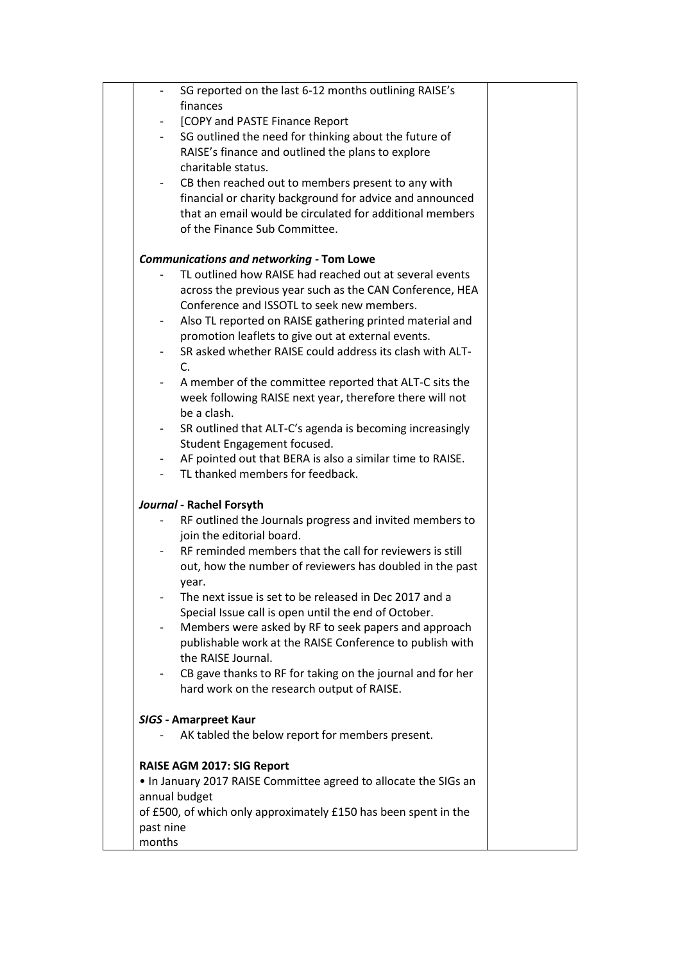|                              | SG reported on the last 6-12 months outlining RAISE's            |  |
|------------------------------|------------------------------------------------------------------|--|
| finances                     |                                                                  |  |
|                              | [COPY and PASTE Finance Report                                   |  |
| $-$                          | SG outlined the need for thinking about the future of            |  |
|                              | RAISE's finance and outlined the plans to explore                |  |
| charitable status.           |                                                                  |  |
|                              | CB then reached out to members present to any with               |  |
|                              | financial or charity background for advice and announced         |  |
|                              | that an email would be circulated for additional members         |  |
|                              | of the Finance Sub Committee.                                    |  |
|                              | <b>Communications and networking - Tom Lowe</b>                  |  |
|                              | TL outlined how RAISE had reached out at several events          |  |
|                              | across the previous year such as the CAN Conference, HEA         |  |
|                              | Conference and ISSOTL to seek new members.                       |  |
|                              | Also TL reported on RAISE gathering printed material and         |  |
|                              | promotion leaflets to give out at external events.               |  |
|                              | SR asked whether RAISE could address its clash with ALT-         |  |
| $C_{1}$                      |                                                                  |  |
|                              | A member of the committee reported that ALT-C sits the           |  |
|                              | week following RAISE next year, therefore there will not         |  |
| be a clash.                  |                                                                  |  |
|                              | SR outlined that ALT-C's agenda is becoming increasingly         |  |
|                              | Student Engagement focused.                                      |  |
|                              | AF pointed out that BERA is also a similar time to RAISE.        |  |
|                              | TL thanked members for feedback.                                 |  |
| Journal - Rachel Forsyth     |                                                                  |  |
|                              | RF outlined the Journals progress and invited members to         |  |
| join the editorial board.    |                                                                  |  |
|                              | RF reminded members that the call for reviewers is still         |  |
|                              | out, how the number of reviewers has doubled in the past         |  |
| year.                        |                                                                  |  |
|                              | The next issue is set to be released in Dec 2017 and a           |  |
|                              | Special Issue call is open until the end of October.             |  |
|                              | Members were asked by RF to seek papers and approach             |  |
|                              | publishable work at the RAISE Conference to publish with         |  |
| the RAISE Journal.           |                                                                  |  |
|                              | CB gave thanks to RF for taking on the journal and for her       |  |
|                              | hard work on the research output of RAISE.                       |  |
| <b>SIGS - Amarpreet Kaur</b> |                                                                  |  |
|                              | AK tabled the below report for members present.                  |  |
|                              |                                                                  |  |
| RAISE AGM 2017: SIG Report   |                                                                  |  |
|                              | • In January 2017 RAISE Committee agreed to allocate the SIGs an |  |
| annual budget                |                                                                  |  |
|                              | of £500, of which only approximately £150 has been spent in the  |  |
| past nine                    |                                                                  |  |
| months                       |                                                                  |  |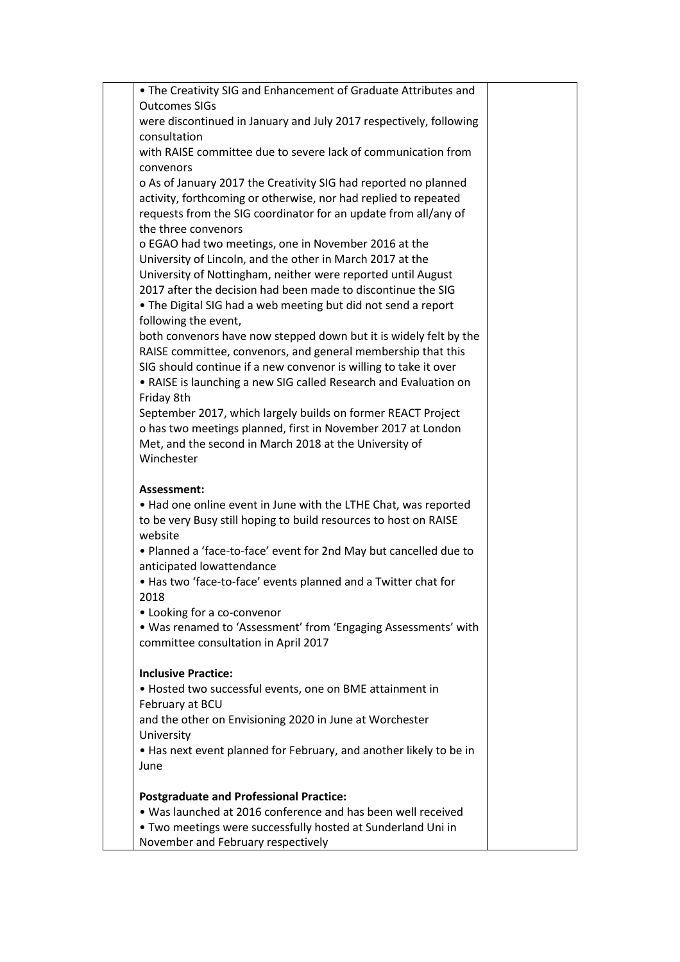| . The Creativity SIG and Enhancement of Graduate Attributes and                                                                      |  |
|--------------------------------------------------------------------------------------------------------------------------------------|--|
| <b>Outcomes SIGs</b>                                                                                                                 |  |
| were discontinued in January and July 2017 respectively, following                                                                   |  |
| consultation<br>with RAISE committee due to severe lack of communication from                                                        |  |
| convenors                                                                                                                            |  |
| o As of January 2017 the Creativity SIG had reported no planned                                                                      |  |
| activity, forthcoming or otherwise, nor had replied to repeated                                                                      |  |
| requests from the SIG coordinator for an update from all/any of                                                                      |  |
| the three convenors                                                                                                                  |  |
| o EGAO had two meetings, one in November 2016 at the                                                                                 |  |
| University of Lincoln, and the other in March 2017 at the                                                                            |  |
| University of Nottingham, neither were reported until August                                                                         |  |
| 2017 after the decision had been made to discontinue the SIG                                                                         |  |
| • The Digital SIG had a web meeting but did not send a report                                                                        |  |
| following the event,                                                                                                                 |  |
| both convenors have now stepped down but it is widely felt by the                                                                    |  |
| RAISE committee, convenors, and general membership that this                                                                         |  |
| SIG should continue if a new convenor is willing to take it over<br>• RAISE is launching a new SIG called Research and Evaluation on |  |
| Friday 8th                                                                                                                           |  |
| September 2017, which largely builds on former REACT Project                                                                         |  |
| o has two meetings planned, first in November 2017 at London                                                                         |  |
| Met, and the second in March 2018 at the University of                                                                               |  |
| Winchester                                                                                                                           |  |
| Assessment:                                                                                                                          |  |
| • Had one online event in June with the LTHE Chat, was reported                                                                      |  |
| to be very Busy still hoping to build resources to host on RAISE                                                                     |  |
| website                                                                                                                              |  |
| . Planned a 'face-to-face' event for 2nd May but cancelled due to                                                                    |  |
| anticipated lowattendance                                                                                                            |  |
| . Has two 'face-to-face' events planned and a Twitter chat for                                                                       |  |
| 2018                                                                                                                                 |  |
| • Looking for a co-convenor                                                                                                          |  |
| . Was renamed to 'Assessment' from 'Engaging Assessments' with<br>committee consultation in April 2017                               |  |
|                                                                                                                                      |  |
| <b>Inclusive Practice:</b>                                                                                                           |  |
| • Hosted two successful events, one on BME attainment in                                                                             |  |
| February at BCU                                                                                                                      |  |
| and the other on Envisioning 2020 in June at Worchester                                                                              |  |
| University                                                                                                                           |  |
| • Has next event planned for February, and another likely to be in                                                                   |  |
| June                                                                                                                                 |  |
| <b>Postgraduate and Professional Practice:</b>                                                                                       |  |
| . Was launched at 2016 conference and has been well received                                                                         |  |
| . Two meetings were successfully hosted at Sunderland Uni in                                                                         |  |
| November and February respectively                                                                                                   |  |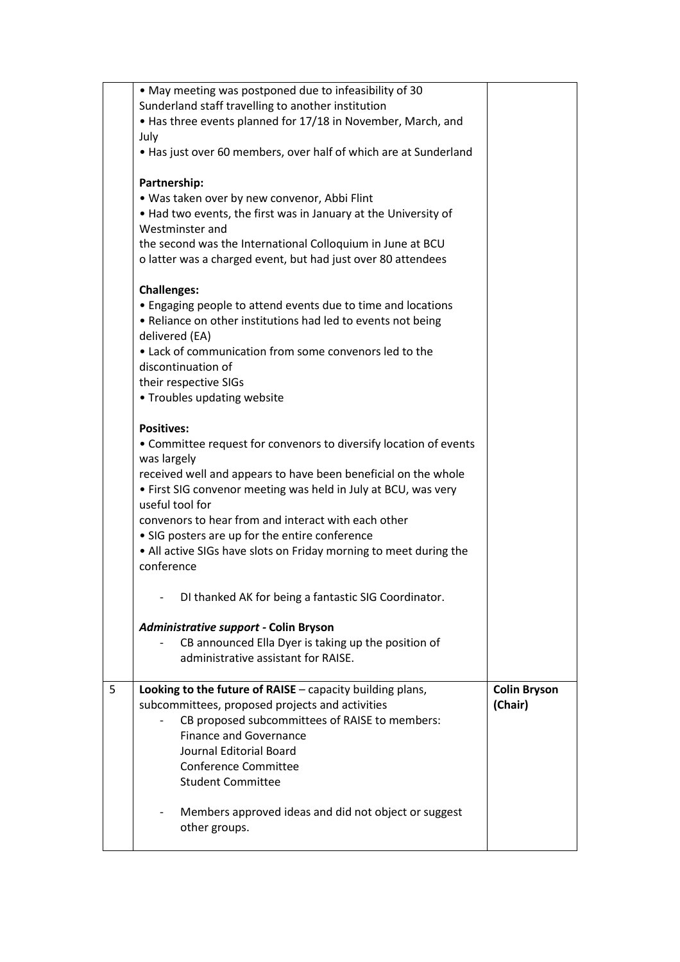|   | • May meeting was postponed due to infeasibility of 30                                                                                         |                     |
|---|------------------------------------------------------------------------------------------------------------------------------------------------|---------------------|
|   | Sunderland staff travelling to another institution<br>• Has three events planned for 17/18 in November, March, and                             |                     |
|   | July                                                                                                                                           |                     |
|   | • Has just over 60 members, over half of which are at Sunderland                                                                               |                     |
|   | Partnership:                                                                                                                                   |                     |
|   | . Was taken over by new convenor, Abbi Flint                                                                                                   |                     |
|   | . Had two events, the first was in January at the University of<br>Westminster and                                                             |                     |
|   | the second was the International Colloquium in June at BCU<br>o latter was a charged event, but had just over 80 attendees                     |                     |
|   | <b>Challenges:</b>                                                                                                                             |                     |
|   | • Engaging people to attend events due to time and locations<br>• Reliance on other institutions had led to events not being<br>delivered (EA) |                     |
|   | • Lack of communication from some convenors led to the<br>discontinuation of                                                                   |                     |
|   | their respective SIGs                                                                                                                          |                     |
|   | • Troubles updating website                                                                                                                    |                     |
|   | <b>Positives:</b>                                                                                                                              |                     |
|   | • Committee request for convenors to diversify location of events<br>was largely                                                               |                     |
|   | received well and appears to have been beneficial on the whole<br>• First SIG convenor meeting was held in July at BCU, was very               |                     |
|   | useful tool for<br>convenors to hear from and interact with each other                                                                         |                     |
|   | • SIG posters are up for the entire conference                                                                                                 |                     |
|   | • All active SIGs have slots on Friday morning to meet during the<br>conference                                                                |                     |
|   | DI thanked AK for being a fantastic SIG Coordinator.                                                                                           |                     |
|   | Administrative support - Colin Bryson                                                                                                          |                     |
|   | CB announced Ella Dyer is taking up the position of<br>administrative assistant for RAISE.                                                     |                     |
| 5 | Looking to the future of RAISE - capacity building plans,                                                                                      | <b>Colin Bryson</b> |
|   | subcommittees, proposed projects and activities<br>CB proposed subcommittees of RAISE to members:                                              | (Chair)             |
|   | <b>Finance and Governance</b>                                                                                                                  |                     |
|   | Journal Editorial Board                                                                                                                        |                     |
|   | <b>Conference Committee</b>                                                                                                                    |                     |
|   | <b>Student Committee</b>                                                                                                                       |                     |
|   | Members approved ideas and did not object or suggest                                                                                           |                     |
|   | other groups.                                                                                                                                  |                     |